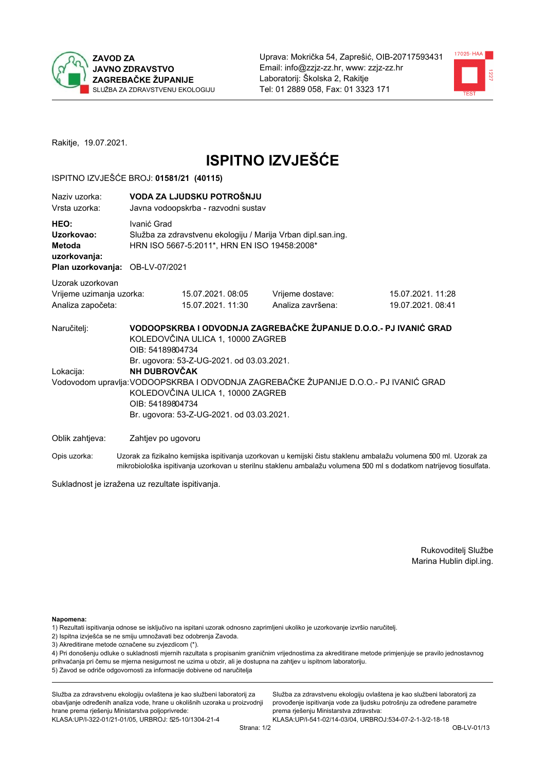



Rakitje, 19.07.2021.

# **ISPITNO IZVJEŠĆE**

#### ISPITNO IZVJEŠĆE BROJ: 01581/21 (40115)

| Naziy uzorka:<br>Vrsta uzorka:                                                  |                                                             | VODA ZA LJUDSKU POTROŠNJU<br>Javna vodoopskrba - razvodni sustav                                                                                                 |                                                                                                                                                            |                                                                                                                  |  |  |  |
|---------------------------------------------------------------------------------|-------------------------------------------------------------|------------------------------------------------------------------------------------------------------------------------------------------------------------------|------------------------------------------------------------------------------------------------------------------------------------------------------------|------------------------------------------------------------------------------------------------------------------|--|--|--|
| HEO:<br>Uzorkovao:<br>Metoda<br>uzorkovanja:<br>Plan uzorkovanja: OB-LV-07/2021 |                                                             | Ivanić Grad<br>Služba za zdravstvenu ekologiju / Marija Vrban dipl.san.ing.<br>HRN ISO 5667-5:2011*, HRN EN ISO 19458:2008*                                      |                                                                                                                                                            |                                                                                                                  |  |  |  |
| Uzorak uzorkovan                                                                |                                                             |                                                                                                                                                                  |                                                                                                                                                            |                                                                                                                  |  |  |  |
| Vrijeme uzimanja uzorka:<br>Analiza započeta:                                   |                                                             | 15.07.2021.08:05<br>15.07.2021. 11:30                                                                                                                            | Vrijeme dostave:<br>Analiza završena:                                                                                                                      | 15.07.2021. 11:28<br>19.07.2021.08:41                                                                            |  |  |  |
| Naručitelj:<br>Lokacija:                                                        | OIB: 54189804734<br><b>NH DUBROVČAK</b><br>OIB: 54189804734 | KOLEDOVČINA ULICA 1, 10000 ZAGREB<br>Br. ugovora: 53-Z-UG-2021. od 03.03.2021.<br>KOLEDOVČINA ULICA 1, 10000 ZAGREB<br>Br. ugovora: 53-Z-UG-2021. od 03.03.2021. | VODOOPSKRBA I ODVODNJA ZAGREBAČKE ŽUPANIJE D.O.O.- PJ IVANIĆ GRAD<br>Vodovodom upravlja: VODOOPSKRBA I ODVODNJA ZAGREBAČKE ŽUPANIJE D.O.O.- PJ IVANIĆ GRAD |                                                                                                                  |  |  |  |
| Oblik zahtjeva:                                                                 | Zahtjev po ugovoru                                          |                                                                                                                                                                  |                                                                                                                                                            |                                                                                                                  |  |  |  |
| Opis uzorka:                                                                    |                                                             |                                                                                                                                                                  |                                                                                                                                                            | Uzorak za fizikalno kemijska ispitivanja uzorkovan u kemijski čistu staklenu ambalažu volumena 500 ml. Uzorak za |  |  |  |

Sukladnost je izražena uz rezultate ispitivanja.

Rukovoditelj Službe Marina Hublin dipl.ing.

Napomena:

- 1) Rezultati ispitivanja odnose se isključivo na ispitani uzorak odnosno zaprimljeni ukoliko je uzorkovanje izvršio naručitelj.
- 2) Ispitna izvješća se ne smiju umnožavati bez odobrenja Zavoda.
- 3) Akreditirane metode označene su zvjezdicom (\*).

4) Pri donošenju odluke o sukladnosti mjernih razultata s propisanim graničnim vrijednostima za akreditirane metode primjenjuje se pravilo jednostavnog prihvaćanja pri čemu se mjerna nesigurnost ne uzima u obzir, ali je dostupna na zahtjev u ispitnom laboratoriju. 5) Zavod se odriče odgovornosti za informacije dobivene od naručitelja

mikrobiološka ispitivanja uzorkovan u sterilnu staklenu ambalažu volumena 500 ml s dodatkom natrijevog tiosulfata.

Služba za zdravstvenu ekologiju ovlaštena je kao službeni laboratorij za obavljanje određenih analiza vode, hrane u okolišnih uzoraka u proizvodnji hrane prema rješenju Ministarstva poljoprivrede: KLASA: UP/I-322-01/21-01/05, URBROJ: 525-10/1304-21-4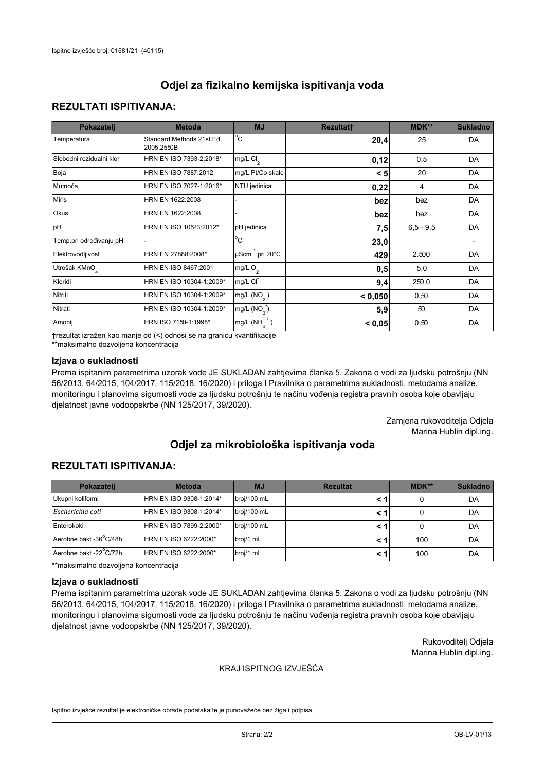## **REZULTATI ISPITIVANJA:**

| Pokazatelj                | <b>Metoda</b>                           | <b>MJ</b>                                   | <b>Rezultatt</b> | MDK**       | <b>Sukladno</b> |
|---------------------------|-----------------------------------------|---------------------------------------------|------------------|-------------|-----------------|
| Temperatura               | Standard Methods 21st Ed.<br>2005.2550B | $^{\circ}$ C                                | 20,4             | 25          | DA              |
| Slobodni rezidualni klor  | HRN EN ISO 7393-2:2018*                 | $\overline{\text{mg/L}}$ Cl <sub>2</sub>    | 0,12             | 0,5         | DA              |
| Boja                      | HRN EN ISO 7887:2012                    | mg/L Pt/Co skale                            | < 5              | 20          | DA              |
| Mutnoća                   | HRN EN ISO 7027-1:2016*                 | NTU jedinica                                | 0,22             | 4           | DA              |
| <b>Miris</b>              | HRN EN 1622:2008                        |                                             | bez              | bez         | DA              |
| Okus                      | HRN EN 1622:2008                        |                                             | bez              | bez         | DA              |
| pH                        | HRN EN ISO 10523:2012*                  | pH jedinica                                 | 7,5              | $6,5 - 9,5$ | DA              |
| Temp.pri određivanju pH   |                                         | $\overline{c}$                              | 23,0             |             |                 |
| Elektrovodljivost         | HRN EN 27888:2008*                      | $\overline{\mu}$ Scm <sup>-1</sup> pri 20°C | 429              | 2.500       | DA              |
| Utrošak KMnO <sub>4</sub> | HRN EN ISO 8467:2001                    | mg/L $O_2$                                  | 0,5              | 5,0         | DA              |
| Kloridi                   | HRN EN ISO 10304-1:2009*                | mg/L CI                                     | 9,4              | 250,0       | DA              |
| Nitriti                   | HRN EN ISO 10304-1:2009*                | mg/L (NO <sub>2</sub> )                     | < 0.050          | 0,50        | DA              |
| Nitrati                   | HRN EN ISO 10304-1:2009*                | mg/L $(NO3)$                                | 5,9              | 50          | DA              |
| Amonij                    | HRN ISO 7150-1:1998*                    | mg/L $(NH_{\lambda}^{\dagger})$             | < 0,05           | 0,50        | DA              |

trezultat izražen kao manje od (<) odnosi se na granicu kvantifikacije

\*\*maksimalno dozvoljena koncentracija

### Izjava o sukladnosti

Prema ispitanim parametrima uzorak vode JE SUKLADAN zahtjevima članka 5. Zakona o vodi za ljudsku potrošnju (NN 56/2013, 64/2015, 104/2017, 115/2018, 16/2020) i priloga I Pravilnika o parametrima sukladnosti, metodama analize, monitoringu i planovima sigurnosti vode za ljudsku potrošnju te načinu vođenja registra pravnih osoba koje obavljaju djelatnost javne vodoopskrbe (NN 125/2017, 39/2020).

> Zamjena rukovoditelja Odjela Marina Hublin dipl.ing.

# Odjel za mikrobiološka ispitivanja voda

## **REZULTATI ISPITIVANJA:**

| Pokazatelj             | <b>Metoda</b>           | <b>MJ</b>   | <b>Rezultat</b> | $MDK**$ | <b>Sukladno</b> |
|------------------------|-------------------------|-------------|-----------------|---------|-----------------|
| Ukupni koliformi       | HRN EN ISO 9308-1:2014* | broj/100 mL |                 |         | DA              |
| Escherichia coli       | HRN EN ISO 9308-1:2014* | broj/100 mL |                 |         | DA              |
| Enterokoki             | HRN EN ISO 7899-2:2000* | broj/100 mL |                 |         | DA              |
| Aerobne bakt -36°C/48h | HRN EN ISO 6222:2000*   | broj/1 mL   |                 | 100     | DA              |
| Aerobne bakt -22°C/72h | HRN EN ISO 6222:2000*   | broj/1 mL   |                 | 100     | DA              |

\*\*maksimalno dozvoljena koncentracija

#### Izjava o sukladnosti

Prema ispitanim parametrima uzorak vode JE SUKLADAN zahtjevima članka 5. Zakona o vodi za ljudsku potrošnju (NN 56/2013, 64/2015, 104/2017, 115/2018, 16/2020) i priloga I Pravilnika o parametrima sukladnosti, metodama analize, monitoringu i planovima sigurnosti vode za ljudsku potrošnju te načinu vođenja registra pravnih osoba koje obavljaju djelatnost javne vodoopskrbe (NN 125/2017, 39/2020).

> Rukovoditelj Odjela Marina Hublin dipl.ing.

#### KRAJ ISPITNOG IZVJEŠĆA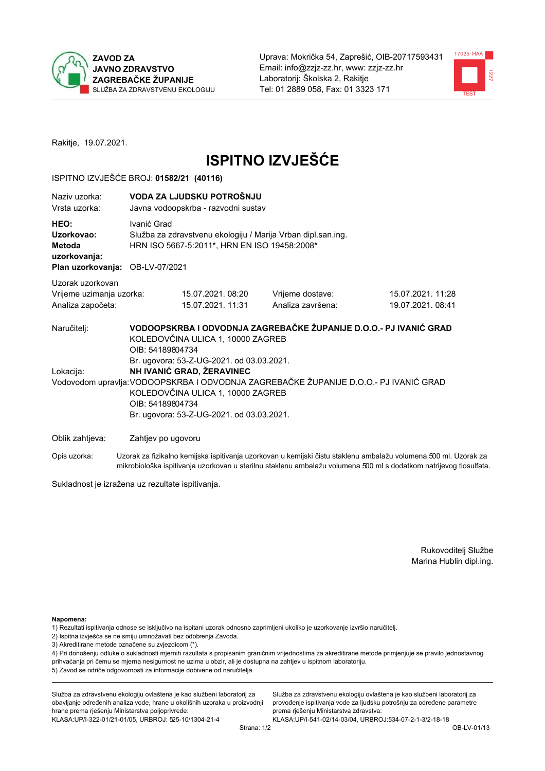



Rakitje, 19.07.2021.

# **ISPITNO IZVJEŠĆE**

#### ISPITNO IZVJEŠĆE BROJ: 01582/21 (40116)

| Naziv uzorka:<br>Vrsta uzorka:                                                  |                                      | VODA ZA LJUDSKU POTROŠNJU<br>Javna vodoopskrba - razvodni sustav                                                                                                                              |                                                                                                                                                            |                                                                                                                  |  |  |  |
|---------------------------------------------------------------------------------|--------------------------------------|-----------------------------------------------------------------------------------------------------------------------------------------------------------------------------------------------|------------------------------------------------------------------------------------------------------------------------------------------------------------|------------------------------------------------------------------------------------------------------------------|--|--|--|
| HEO:<br>Uzorkovao:<br>Metoda<br>uzorkovanja:<br>Plan uzorkovanja: OB-LV-07/2021 |                                      | Ivanić Grad<br>Služba za zdravstvenu ekologiju / Marija Vrban dipl.san.ing.<br>HRN ISO 5667-5:2011*, HRN EN ISO 19458:2008*                                                                   |                                                                                                                                                            |                                                                                                                  |  |  |  |
| Uzorak uzorkovan<br>Vrijeme uzimanja uzorka:                                    |                                      | 15.07.2021.08:20                                                                                                                                                                              | Vrijeme dostave:                                                                                                                                           | 15.07.2021. 11:28                                                                                                |  |  |  |
| Analiza započeta:                                                               |                                      | 15.07.2021. 11:31                                                                                                                                                                             | Analiza završena:                                                                                                                                          | 19.07.2021.08:41                                                                                                 |  |  |  |
| Naručitelj:<br>Lokacija:                                                        | OIB: 54189804734<br>OIB: 54189804734 | KOLEDOVČINA ULICA 1, 10000 ZAGREB<br>Br. ugovora: 53-Z-UG-2021. od 03.03.2021.<br>NH IVANIĆ GRAD, ŽERAVINEC<br>KOLEDOVČINA ULICA 1, 10000 ZAGREB<br>Br. ugovora: 53-Z-UG-2021. od 03.03.2021. | VODOOPSKRBA I ODVODNJA ZAGREBAČKE ŽUPANIJE D.O.O.- PJ IVANIĆ GRAD<br>Vodovodom upravlja: VODOOPSKRBA I ODVODNJA ZAGREBAČKE ŽUPANIJE D.O.O.- PJ IVANIĆ GRAD |                                                                                                                  |  |  |  |
| Oblik zahtjeva:                                                                 |                                      | Zahtjev po ugovoru                                                                                                                                                                            |                                                                                                                                                            |                                                                                                                  |  |  |  |
| Opis uzorka:                                                                    |                                      |                                                                                                                                                                                               |                                                                                                                                                            | Uzorak za fizikalno kemijska ispitivanja uzorkovan u kemijski čistu staklenu ambalažu volumena 500 ml. Uzorak za |  |  |  |

mikrobiološka ispitivanja uzorkovan u sterilnu staklenu ambalažu volumena 500 ml s dodatkom natrijevog tiosulfata.

Sukladnost je izražena uz rezultate ispitivanja.

Rukovoditelj Službe Marina Hublin dipl.ing.

Napomena:

- 1) Rezultati ispitivanja odnose se isključivo na ispitani uzorak odnosno zaprimljeni ukoliko je uzorkovanje izvršio naručitelj.
- 2) Ispitna izvješća se ne smiju umnožavati bez odobrenja Zavoda.
- 3) Akreditirane metode označene su zvjezdicom (\*).

4) Pri donošenju odluke o sukladnosti mjernih razultata s propisanim graničnim vrijednostima za akreditirane metode primjenjuje se pravilo jednostavnog prihvaćanja pri čemu se mjerna nesigurnost ne uzima u obzir, ali je dostupna na zahtjev u ispitnom laboratoriju. 5) Zavod se odriče odgovornosti za informacije dobivene od naručitelja

Služba za zdravstvenu ekologiju ovlaštena je kao službeni laboratorij za obavljanje određenih analiza vode, hrane u okolišnih uzoraka u proizvodnji hrane prema rješenju Ministarstva poljoprivrede: KLASA: UP/I-322-01/21-01/05, URBROJ: 525-10/1304-21-4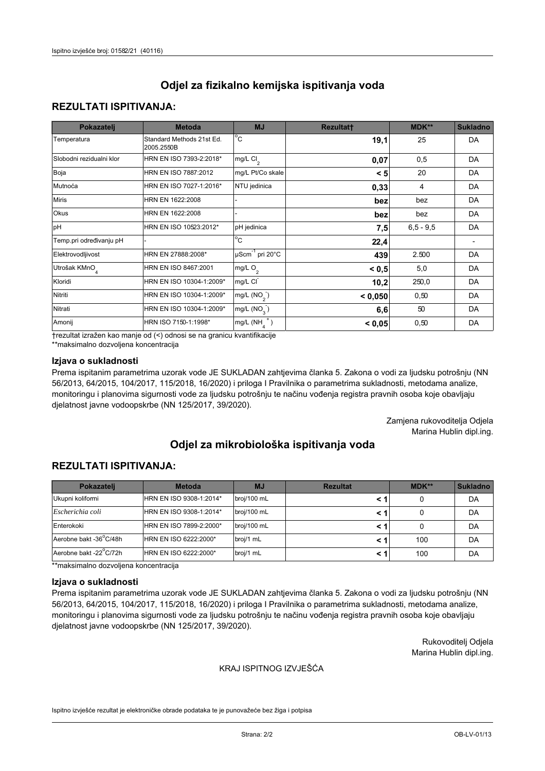## **REZULTATI ISPITIVANJA:**

| Pokazatelj                | <b>Metoda</b>                           | <b>MJ</b>                                | <b>Rezultatt</b> | <b>MDK**</b> | <b>Sukladno</b> |
|---------------------------|-----------------------------------------|------------------------------------------|------------------|--------------|-----------------|
| Temperatura               | Standard Methods 21st Ed.<br>2005.2550B | $\overline{C}$                           | 19,1             | 25           | DA              |
| Slobodni rezidualni klor  | HRN EN ISO 7393-2:2018*                 | $\overline{\text{mg/L}}$ Cl <sub>2</sub> | 0,07             | 0,5          | DA              |
| Boja                      | HRN EN ISO 7887:2012                    | mg/L Pt/Co skale                         | < 5              | 20           | DA              |
| Mutnoća                   | HRN EN ISO 7027-1:2016*                 | NTU jedinica                             | 0,33             | 4            | DA              |
| <b>Miris</b>              | HRN EN 1622:2008                        |                                          | bez              | bez          | DA              |
| Okus                      | HRN EN 1622:2008                        |                                          | bez              | bez          | DA              |
| pH                        | HRN EN ISO 10523:2012*                  | pH jedinica                              | 7,5              | $6.5 - 9.5$  | DA              |
| Temp.pri određivanju pH   |                                         | $\overline{c}$                           | 22,4             |              |                 |
| Elektrovodljivost         | HRN EN 27888:2008*                      | $\mu$ Scm <sup>-1</sup> pri 20°C         | 439              | 2.500        | DA              |
| Utrošak KMnO <sub>4</sub> | HRN EN ISO 8467:2001                    | mg/L $O_2$                               | < 0.5            | 5,0          | DA              |
| Kloridi                   | HRN EN ISO 10304-1:2009*                | mg/L CI                                  | 10,2             | 250,0        | DA              |
| Nitriti                   | HRN EN ISO 10304-1:2009*                | mg/L $(NO2)$                             | < 0,050          | 0,50         | DA              |
| Nitrati                   | HRN EN ISO 10304-1:2009*                | mg/L $(NO3)$                             | 6,6              | 50           | DA              |
| Amonij                    | HRN ISO 7150-1:1998*                    | mg/L $(NH_{\lambda}^{\dagger})$          | < 0,05           | 0,50         | DA              |

trezultat izražen kao manje od (<) odnosi se na granicu kvantifikacije

\*\*maksimalno dozvoljena koncentracija

### Izjava o sukladnosti

Prema ispitanim parametrima uzorak vode JE SUKLADAN zahtjevima članka 5. Zakona o vodi za ljudsku potrošnju (NN 56/2013, 64/2015, 104/2017, 115/2018, 16/2020) i priloga I Pravilnika o parametrima sukladnosti, metodama analize, monitoringu i planovima sigurnosti vode za ljudsku potrošnju te načinu vođenja registra pravnih osoba koje obavljaju djelatnost javne vodoopskrbe (NN 125/2017, 39/2020).

> Zamjena rukovoditelja Odjela Marina Hublin dipl.ing.

## Odjel za mikrobiološka ispitivanja voda

## **REZULTATI ISPITIVANJA:**

| Pokazatelj             | <b>Metoda</b>           | <b>MJ</b>   | <b>Rezultat</b> | $MDK**$ | <b>Sukladno</b> |
|------------------------|-------------------------|-------------|-----------------|---------|-----------------|
| Ukupni koliformi       | HRN EN ISO 9308-1:2014* | broj/100 mL |                 |         | DA              |
| Escherichia coli       | HRN EN ISO 9308-1:2014* | broj/100 mL |                 |         | DA              |
| Enterokoki             | HRN EN ISO 7899-2:2000* | broj/100 mL |                 |         | DA              |
| Aerobne bakt -36°C/48h | HRN EN ISO 6222:2000*   | broj/1 mL   |                 | 100     | DA              |
| Aerobne bakt -22°C/72h | HRN EN ISO 6222:2000*   | broj/1 mL   |                 | 100     | DA              |

\*\*maksimalno dozvoljena koncentracija

#### Izjava o sukladnosti

Prema ispitanim parametrima uzorak vode JE SUKLADAN zahtjevima članka 5. Zakona o vodi za ljudsku potrošnju (NN 56/2013, 64/2015, 104/2017, 115/2018, 16/2020) i priloga I Pravilnika o parametrima sukladnosti, metodama analize, monitoringu i planovima sigurnosti vode za ljudsku potrošnju te načinu vođenja registra pravnih osoba koje obavljaju djelatnost javne vodoopskrbe (NN 125/2017, 39/2020).

> Rukovoditelj Odjela Marina Hublin dipl.ing.

#### KRAJ ISPITNOG IZVJEŠĆA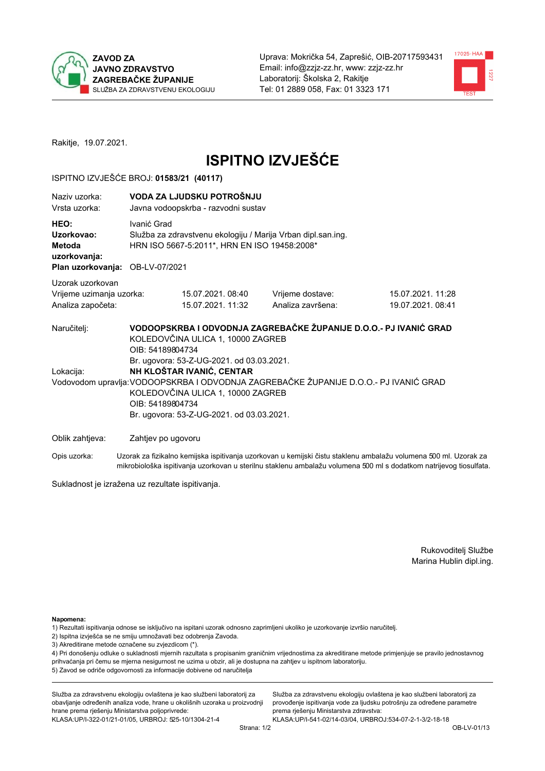



Rakitje, 19.07.2021.

# **ISPITNO IZVJEŠĆE**

#### ISPITNO IZVJEŠĆE BROJ: 01583/21 (40117)

| Naziy uzorka:<br>Vrsta uzorka:                                                  |                                      | VODA ZA LJUDSKU POTROŠNJU<br>Javna vodoopskrba - razvodni sustav                                                                                                                              |                                                                                                                                                            |                                                                                                                  |  |  |  |
|---------------------------------------------------------------------------------|--------------------------------------|-----------------------------------------------------------------------------------------------------------------------------------------------------------------------------------------------|------------------------------------------------------------------------------------------------------------------------------------------------------------|------------------------------------------------------------------------------------------------------------------|--|--|--|
| HEO:<br>Uzorkovao:<br>Metoda<br>uzorkovanja:<br>Plan uzorkovanja: OB-LV-07/2021 |                                      | Ivanić Grad<br>Služba za zdravstvenu ekologiju / Marija Vrban dipl.san.ing.<br>HRN ISO 5667-5:2011*, HRN EN ISO 19458:2008*                                                                   |                                                                                                                                                            |                                                                                                                  |  |  |  |
| Uzorak uzorkovan                                                                |                                      |                                                                                                                                                                                               |                                                                                                                                                            |                                                                                                                  |  |  |  |
| Vrijeme uzimanja uzorka:                                                        |                                      | 15.07.2021.08:40                                                                                                                                                                              | Vrijeme dostave:                                                                                                                                           | 15.07.2021. 11:28                                                                                                |  |  |  |
| Analiza započeta:                                                               |                                      | 15.07.2021. 11:32                                                                                                                                                                             | Analiza završena:                                                                                                                                          | 19.07.2021.08:41                                                                                                 |  |  |  |
| Naručitelj:<br>Lokacija:                                                        | OIB: 54189804734<br>OIB: 54189804734 | KOLEDOVČINA ULICA 1, 10000 ZAGREB<br>Br. ugovora: 53-Z-UG-2021. od 03.03.2021.<br>NH KLOŠTAR IVANIĆ, CENTAR<br>KOLEDOVČINA ULICA 1, 10000 ZAGREB<br>Br. ugovora: 53-Z-UG-2021. od 03.03.2021. | VODOOPSKRBA I ODVODNJA ZAGREBAČKE ŽUPANIJE D.O.O.- PJ IVANIĆ GRAD<br>Vodovodom upravlja: VODOOPSKRBA I ODVODNJA ZAGREBAČKE ŽUPANIJE D.O.O.- PJ IVANIĆ GRAD |                                                                                                                  |  |  |  |
| Oblik zahtjeva:                                                                 | Zahtjev po ugovoru                   |                                                                                                                                                                                               |                                                                                                                                                            |                                                                                                                  |  |  |  |
| Opis uzorka:                                                                    |                                      |                                                                                                                                                                                               |                                                                                                                                                            | Uzorak za fizikalno kemijska ispitivanja uzorkovan u kemijski čistu staklenu ambalažu volumena 500 ml. Uzorak za |  |  |  |

Sukladnost je izražena uz rezultate ispitivanja.

Rukovoditelj Službe Marina Hublin dipl.ing.

Napomena:

- 1) Rezultati ispitivanja odnose se isključivo na ispitani uzorak odnosno zaprimljeni ukoliko je uzorkovanje izvršio naručitelj.
- 2) Ispitna izvješća se ne smiju umnožavati bez odobrenja Zavoda.
- 3) Akreditirane metode označene su zvjezdicom (\*).

4) Pri donošenju odluke o sukladnosti mjernih razultata s propisanim graničnim vrijednostima za akreditirane metode primjenjuje se pravilo jednostavnog prihvaćanja pri čemu se mjerna nesigurnost ne uzima u obzir, ali je dostupna na zahtjev u ispitnom laboratoriju. 5) Zavod se odriče odgovornosti za informacije dobivene od naručitelja

mikrobiološka ispitivanja uzorkovan u sterilnu staklenu ambalažu volumena 500 ml s dodatkom natrijevog tiosulfata.

Služba za zdravstvenu ekologiju ovlaštena je kao službeni laboratorij za obavljanje određenih analiza vode, hrane u okolišnih uzoraka u proizvodnji hrane prema rješenju Ministarstva poljoprivrede: KLASA: UP/I-322-01/21-01/05, URBROJ: 525-10/1304-21-4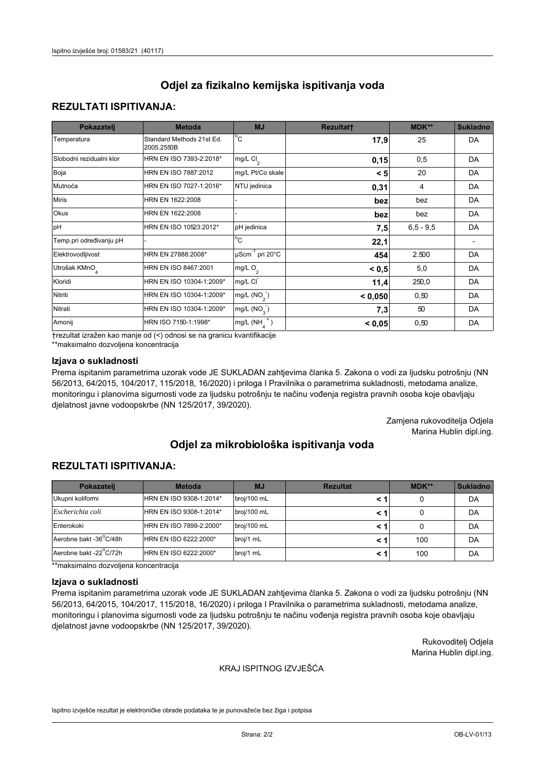## **REZULTATI ISPITIVANJA:**

| Pokazatelj                | <b>Metoda</b>                           | <b>MJ</b>                        | <b>Rezultatt</b> | MDK**       | <b>Sukladno</b> |
|---------------------------|-----------------------------------------|----------------------------------|------------------|-------------|-----------------|
| Temperatura               | Standard Methods 21st Ed.<br>2005.2550B | $^{\circ}$ C                     | 17,9             | 25          | DA              |
| Slobodni rezidualni klor  | HRN EN ISO 7393-2:2018*                 | mg/L $Cl2$                       | 0,15             | 0,5         | DA              |
| Boja                      | HRN EN ISO 7887:2012                    | mg/L Pt/Co skale                 | < 5              | 20          | DA              |
| Mutnoća                   | HRN EN ISO 7027-1:2016*                 | NTU jedinica                     | 0,31             | 4           | DA              |
| <b>Miris</b>              | HRN EN 1622:2008                        |                                  | bez              | bez         | DA              |
| Okus                      | HRN EN 1622:2008                        |                                  | bez              | bez         | DA              |
| pH                        | HRN EN ISO 10523:2012*                  | pH jedinica                      | 7,5              | $6,5 - 9,5$ | DA              |
| Temp.pri određivanju pH   |                                         | $\overline{c}$                   | 22,1             |             |                 |
| Elektrovodljivost         | HRN EN 27888:2008*                      | $\mu$ Scm <sup>-1</sup> pri 20°C | 454              | 2.500       | DA              |
| Utrošak KMnO <sub>4</sub> | HRN EN ISO 8467:2001                    | mg/L O <sub>2</sub>              | < 0, 5           | 5,0         | DA              |
| Kloridi                   | HRN EN ISO 10304-1:2009*                | mg/L CI                          | 11,4             | 250,0       | DA              |
| Nitriti                   | HRN EN ISO 10304-1:2009*                | mg/L (NO <sub>2</sub> )          | < 0,050          | 0,50        | DA              |
| Nitrati                   | HRN EN ISO 10304-1:2009*                | mg/L (NO <sub>3</sub> )          | 7,3              | 50          | DA              |
| Amonij                    | HRN ISO 7150-1:1998*                    | $mg/L(NH_A^+)$                   | < 0,05           | 0,50        | DA              |

trezultat izražen kao manje od (<) odnosi se na granicu kvantifikacije

\*\*maksimalno dozvoljena koncentracija

### Izjava o sukladnosti

Prema ispitanim parametrima uzorak vode JE SUKLADAN zahtjevima članka 5. Zakona o vodi za ljudsku potrošnju (NN 56/2013, 64/2015, 104/2017, 115/2018, 16/2020) i priloga I Pravilnika o parametrima sukladnosti, metodama analize, monitoringu i planovima sigurnosti vode za ljudsku potrošnju te načinu vođenja registra pravnih osoba koje obavljaju djelatnost javne vodoopskrbe (NN 125/2017, 39/2020).

> Zamjena rukovoditelja Odjela Marina Hublin dipl.ing.

# Odjel za mikrobiološka ispitivanja voda

## **REZULTATI ISPITIVANJA:**

| Pokazatelj             | <b>Metoda</b>           | <b>MJ</b>   | <b>Rezultat</b> | $MDK**$ | <b>Sukladno</b> |
|------------------------|-------------------------|-------------|-----------------|---------|-----------------|
| Ukupni koliformi       | HRN EN ISO 9308-1:2014* | broj/100 mL |                 |         | DA              |
| Escherichia coli       | HRN EN ISO 9308-1:2014* | broj/100 mL |                 |         | DA              |
| Enterokoki             | HRN EN ISO 7899-2:2000* | broj/100 mL |                 |         | DA              |
| Aerobne bakt -36°C/48h | HRN EN ISO 6222:2000*   | broj/1 mL   |                 | 100     | DA              |
| Aerobne bakt -22°C/72h | HRN EN ISO 6222:2000*   | broj/1 mL   |                 | 100     | DA              |

\*\*maksimalno dozvoljena koncentracija

#### Izjava o sukladnosti

Prema ispitanim parametrima uzorak vode JE SUKLADAN zahtjevima članka 5. Zakona o vodi za ljudsku potrošnju (NN 56/2013, 64/2015, 104/2017, 115/2018, 16/2020) i priloga I Pravilnika o parametrima sukladnosti, metodama analize, monitoringu i planovima sigurnosti vode za ljudsku potrošnju te načinu vođenja registra pravnih osoba koje obavljaju djelatnost javne vodoopskrbe (NN 125/2017, 39/2020).

> Rukovoditelj Odjela Marina Hublin dipl.ing.

#### KRAJ ISPITNOG IZVJEŠĆA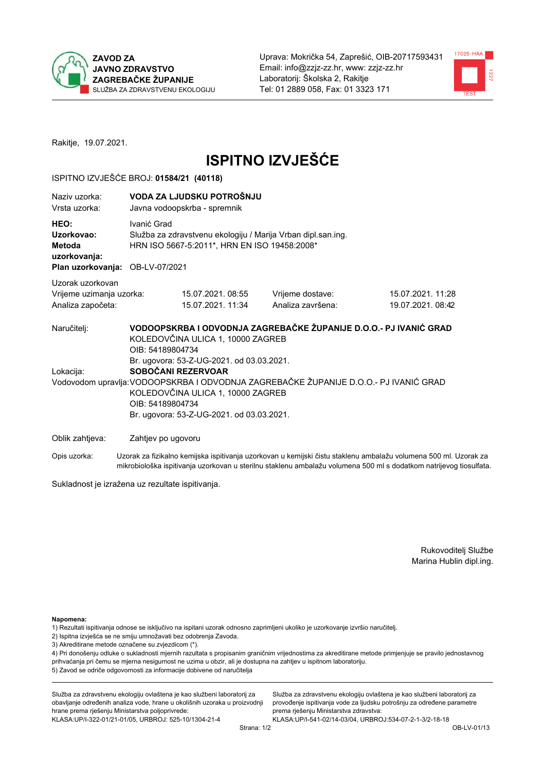



Rakitje, 19.07.2021.

# **ISPITNO IZVJEŠĆE**

#### ISPITNO IZVJEŠĆE BROJ: 01584/21 (40118)

| Naziy uzorka:<br>Vrsta uzorka:                                                  |                                      | VODA ZA LJUDSKU POTROŠNJU<br>Javna vodoopskrba - spremnik                                                                                                                              |                                                                                                                                                            |                                                                                                                  |  |  |  |
|---------------------------------------------------------------------------------|--------------------------------------|----------------------------------------------------------------------------------------------------------------------------------------------------------------------------------------|------------------------------------------------------------------------------------------------------------------------------------------------------------|------------------------------------------------------------------------------------------------------------------|--|--|--|
| HEO:<br>Uzorkovao:<br>Metoda<br>uzorkovanja:<br>Plan uzorkovanja: OB-LV-07/2021 | Ivanić Grad                          | Služba za zdravstvenu ekologiju / Marija Vrban dipl.san.ing.<br>HRN ISO 5667-5:2011*, HRN EN ISO 19458:2008*                                                                           |                                                                                                                                                            |                                                                                                                  |  |  |  |
|                                                                                 |                                      |                                                                                                                                                                                        |                                                                                                                                                            |                                                                                                                  |  |  |  |
| Uzorak uzorkovan<br>Vrijeme uzimanja uzorka:<br>Analiza započeta:               |                                      | 15.07.2021.08:55<br>15.07.2021. 11:34                                                                                                                                                  | Vrijeme dostave:<br>Analiza završena:                                                                                                                      | 15.07.2021. 11:28<br>19.07.2021.08:42                                                                            |  |  |  |
| Naručitelj:<br>Lokacija:                                                        | OIB: 54189804734<br>OIB: 54189804734 | KOLEDOVČINA ULICA 1, 10000 ZAGREB<br>Br. ugovora: 53-Z-UG-2021. od 03.03.2021.<br>SOBOČANI REZERVOAR<br>KOLEDOVČINA ULICA 1, 10000 ZAGREB<br>Br. ugovora: 53-Z-UG-2021. od 03.03.2021. | VODOOPSKRBA I ODVODNJA ZAGREBAČKE ŽUPANIJE D.O.O.- PJ IVANIĆ GRAD<br>Vodovodom upravlja: VODOOPSKRBA I ODVODNJA ZAGREBAČKE ŽUPANIJE D.O.O.- PJ IVANIĆ GRAD |                                                                                                                  |  |  |  |
| Oblik zahtjeva:                                                                 | Zahtjev po ugovoru                   |                                                                                                                                                                                        |                                                                                                                                                            |                                                                                                                  |  |  |  |
| Opis uzorka:                                                                    |                                      |                                                                                                                                                                                        |                                                                                                                                                            | Uzorak za fizikalno kemijska ispitivanja uzorkovan u kemijski čistu staklenu ambalažu volumena 500 ml. Uzorak za |  |  |  |

mikrobiološka ispitivanja uzorkovan u sterilnu staklenu ambalažu volumena 500 ml s dodatkom natrijevog tiosulfata.

Sukladnost je izražena uz rezultate ispitivanja.

Rukovoditelj Službe Marina Hublin dipl.ing.

Napomena:

- 1) Rezultati ispitivanja odnose se isključivo na ispitani uzorak odnosno zaprimljeni ukoliko je uzorkovanje izvršio naručitelj.
- 2) Ispitna izvješća se ne smiju umnožavati bez odobrenja Zavoda.
- 3) Akreditirane metode označene su zvjezdicom (\*).

4) Pri donošenju odluke o sukladnosti mjernih razultata s propisanim graničnim vrijednostima za akreditirane metode primjenjuje se pravilo jednostavnog prihvaćanja pri čemu se mjerna nesigurnost ne uzima u obzir, ali je dostupna na zahtjev u ispitnom laboratoriju. 5) Zavod se odriče odgovornosti za informacije dobivene od naručitelja

Služba za zdravstvenu ekologiju ovlaštena je kao službeni laboratorij za obavljanje određenih analiza vode, hrane u okolišnih uzoraka u proizvodnji hrane prema rješenju Ministarstva poljoprivrede: KLASA.UP/I-322-01/21-01/05, URBROJ: 525-10/1304-21-4

Služba za zdravstvenu ekologiju ovlaštena je kao službeni laboratorij za provođenje ispitivanja vode za ljudsku potrošnju za određene parametre prema rješenju Ministarstva zdravstva: KLASA:UP/I-541-02/14-03/04, URBROJ:534-07-2-1-3/2-18-18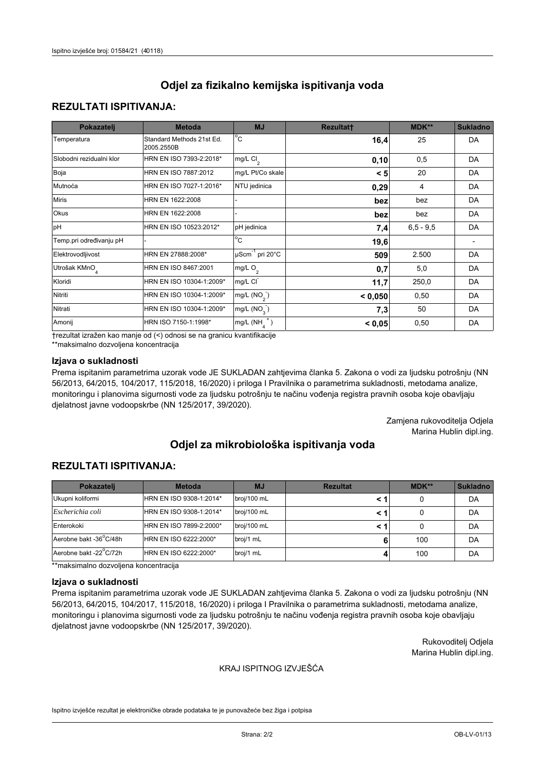## **REZULTATI ISPITIVANJA:**

| Pokazatelj                | <b>Metoda</b>                           | <b>MJ</b>                        | <b>Rezultatt</b> | MDK**       | <b>Sukladno</b> |
|---------------------------|-----------------------------------------|----------------------------------|------------------|-------------|-----------------|
| Temperatura               | Standard Methods 21st Ed.<br>2005.2550B | $^{\circ}$ C                     | 16,4             | 25          | DA              |
| Slobodni rezidualni klor  | HRN EN ISO 7393-2:2018*                 | $mg/L$ Cl <sub>2</sub>           | 0, 10            | 0,5         | DA              |
| Boja                      | HRN EN ISO 7887:2012                    | mg/L Pt/Co skale                 | < 5              | 20          | DA              |
| Mutnoća                   | HRN EN ISO 7027-1:2016*                 | NTU jedinica                     | 0,29             | 4           | DA              |
| <b>Miris</b>              | HRN EN 1622:2008                        |                                  | bez              | bez         | DA              |
| Okus                      | HRN EN 1622:2008                        |                                  | bez              | bez         | DA              |
| pH                        | HRN EN ISO 10523:2012*                  | pH jedinica                      | 7,4              | $6,5 - 9,5$ | DA              |
| Temp.pri određivanju pH   |                                         | $\overline{c}$                   | 19,6             |             |                 |
| Elektrovodljivost         | HRN EN 27888:2008*                      | $\mu$ Scm <sup>-1</sup> pri 20°C | 509              | 2.500       | DA              |
| Utrošak KMnO <sub>4</sub> | HRN EN ISO 8467:2001                    | mg/L O <sub>2</sub>              | 0,7              | 5,0         | DA              |
| Kloridi                   | HRN EN ISO 10304-1:2009*                | mg/L CI                          | 11,7             | 250,0       | DA              |
| Nitriti                   | HRN EN ISO 10304-1:2009*                | mg/L (NO <sub>2</sub> )          | < 0,050          | 0,50        | DA              |
| Nitrati                   | HRN EN ISO 10304-1:2009*                | mg/L (NO <sub>3</sub> )          | 7,3              | 50          | DA              |
| Amonij                    | HRN ISO 7150-1:1998*                    | $mg/L(NH_A^+)$                   | < 0,05           | 0,50        | DA              |

trezultat izražen kao manje od (<) odnosi se na granicu kvantifikacije

\*\*maksimalno dozvoljena koncentracija

### Izjava o sukladnosti

Prema ispitanim parametrima uzorak vode JE SUKLADAN zahtjevima članka 5. Zakona o vodi za ljudsku potrošnju (NN 56/2013, 64/2015, 104/2017, 115/2018, 16/2020) i priloga I Pravilnika o parametrima sukladnosti, metodama analize, monitoringu i planovima sigurnosti vode za ljudsku potrošnju te načinu vođenja registra pravnih osoba koje obavljaju djelatnost javne vodoopskrbe (NN 125/2017, 39/2020).

> Zamjena rukovoditelja Odjela Marina Hublin dipl.ing.

# Odjel za mikrobiološka ispitivanja voda

## **REZULTATI ISPITIVANJA:**

| Pokazateli             | <b>Metoda</b>           | <b>MJ</b>   | <b>Rezultat</b> | $MDK**$ | <b>Sukladno</b> |
|------------------------|-------------------------|-------------|-----------------|---------|-----------------|
| Ukupni koliformi       | HRN EN ISO 9308-1:2014* | broj/100 mL |                 |         | DA              |
| Escherichia coli       | HRN EN ISO 9308-1:2014* | broj/100 mL |                 |         | DA              |
| Enterokoki             | HRN EN ISO 7899-2:2000* | broj/100 mL |                 |         | DA              |
| Aerobne bakt -36°C/48h | HRN EN ISO 6222:2000*   | broj/1 mL   |                 | 100     | DA              |
| Aerobne bakt -22 C/72h | HRN EN ISO 6222:2000*   | broj/1 mL   |                 | 100     | DA              |

\*\*maksimalno dozvoljena koncentracija

#### Izjava o sukladnosti

Prema ispitanim parametrima uzorak vode JE SUKLADAN zahtjevima članka 5. Zakona o vodi za ljudsku potrošnju (NN 56/2013, 64/2015, 104/2017, 115/2018, 16/2020) i priloga I Pravilnika o parametrima sukladnosti, metodama analize, monitoringu i planovima sigurnosti vode za ljudsku potrošnju te načinu vođenja registra pravnih osoba koje obavljaju djelatnost javne vodoopskrbe (NN 125/2017, 39/2020).

> Rukovoditelj Odjela Marina Hublin dipl.ing.

#### KRAJ ISPITNOG IZVJEŠĆA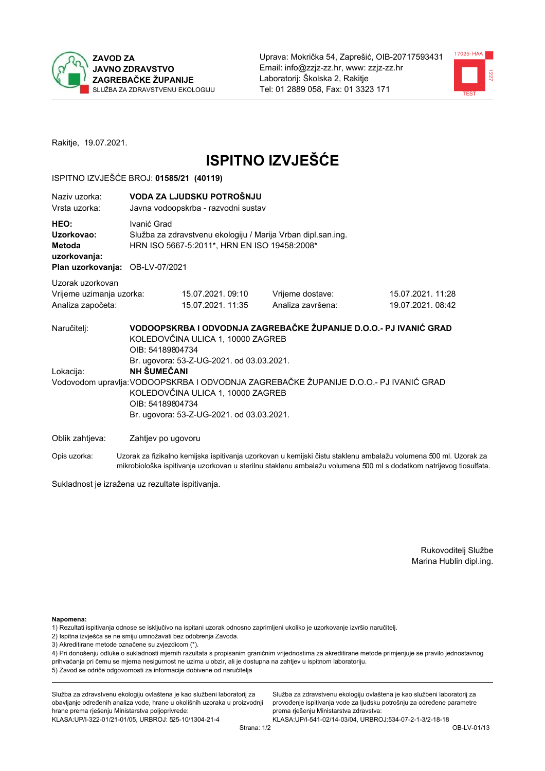



Rakitje, 19.07.2021.

# **ISPITNO IZVJEŠĆE**

#### ISPITNO IZVJEŠĆE BROJ: 01585/21 (40119)

| Naziy uzorka:<br>Vrsta uzorka:                                                  | VODA ZA LJUDSKU POTROŠNJU<br>Javna vodoopskrba - razvodni sustav                                                                                                                                                                                                                                                                                |                                                                                                              |                                       |                                       |  |  |  |
|---------------------------------------------------------------------------------|-------------------------------------------------------------------------------------------------------------------------------------------------------------------------------------------------------------------------------------------------------------------------------------------------------------------------------------------------|--------------------------------------------------------------------------------------------------------------|---------------------------------------|---------------------------------------|--|--|--|
| HEO:<br>Uzorkovao:<br>Metoda<br>uzorkovanja:<br>Plan uzorkovanja: OB-LV-07/2021 | Ivanić Grad                                                                                                                                                                                                                                                                                                                                     | Služba za zdravstvenu ekologiju / Marija Vrban dipl.san.ing.<br>HRN ISO 5667-5:2011*, HRN EN ISO 19458:2008* |                                       |                                       |  |  |  |
| Uzorak uzorkovan<br>Vrijeme uzimanja uzorka:<br>Analiza započeta:               |                                                                                                                                                                                                                                                                                                                                                 | 15.07.2021.09:10<br>15.07.2021. 11:35                                                                        | Vrijeme dostave:<br>Analiza završena: | 15.07.2021. 11:28<br>19.07.2021.08:42 |  |  |  |
| Naručitelj:<br>Lokacija:                                                        | VODOOPSKRBA I ODVODNJA ZAGREBAČKE ŽUPANIJE D.O.O.- PJ IVANIĆ GRAD<br>KOLEDOVČINA ULICA 1, 10000 ZAGREB<br>OIB: 54189804734<br>Br. ugovora: 53-Z-UG-2021. od 03.03.2021.<br><b>NH ŠUMEČANI</b><br>Vodovodom upravlja: VODOOPSKRBA I ODVODNJA ZAGREBAČKE ŽUPANIJE D.O.O.- PJ IVANIĆ GRAD<br>KOLEDOVČINA ULICA 1, 10000 ZAGREB<br>OIB: 54189804734 |                                                                                                              |                                       |                                       |  |  |  |
| Br. ugovora: 53-Z-UG-2021. od 03.03.2021.                                       |                                                                                                                                                                                                                                                                                                                                                 |                                                                                                              |                                       |                                       |  |  |  |
| Oblik zahtjeva:                                                                 |                                                                                                                                                                                                                                                                                                                                                 | Zahtjev po ugovoru                                                                                           |                                       |                                       |  |  |  |

Opis uzorka: Uzorak za fizikalno kemijska ispitivanja uzorkovan u kemijski čistu staklenu ambalažu volumena 500 ml. Uzorak za mikrobiološka ispitivanja uzorkovan u sterilnu staklenu ambalažu volumena 500 ml s dodatkom natrijevog tiosulfata.

Sukladnost je izražena uz rezultate ispitivanja.

Rukovoditelj Službe Marina Hublin dipl.ing.

Napomena:

- 1) Rezultati ispitivanja odnose se isključivo na ispitani uzorak odnosno zaprimljeni ukoliko je uzorkovanje izvršio naručitelj.
- 2) Ispitna izvješća se ne smiju umnožavati bez odobrenja Zavoda.
- 3) Akreditirane metode označene su zvjezdicom (\*).

4) Pri donošenju odluke o sukladnosti mjernih razultata s propisanim graničnim vrijednostima za akreditirane metode primjenjuje se pravilo jednostavnog prihvaćanja pri čemu se mjerna nesigurnost ne uzima u obzir, ali je dostupna na zahtjev u ispitnom laboratoriju. 5) Zavod se odriče odgovornosti za informacije dobivene od naručitelja

Služba za zdravstvenu ekologiju ovlaštena je kao službeni laboratorij za obavljanje određenih analiza vode, hrane u okolišnih uzoraka u proizvodnji hrane prema rješenju Ministarstva poljoprivrede: KLASA: UP/I-322-01/21-01/05, URBROJ: 525-10/1304-21-4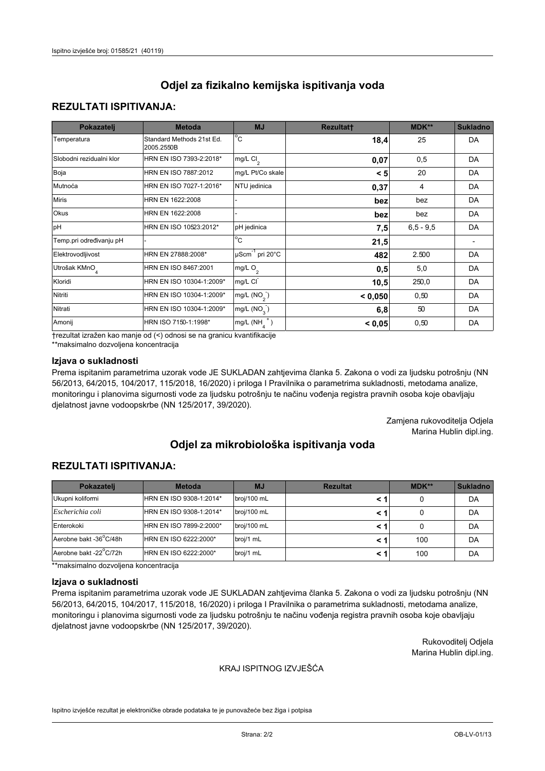## **REZULTATI ISPITIVANJA:**

| Pokazatelj                | <b>Metoda</b>                           | <b>MJ</b>                                | <b>Rezultatt</b> | <b>MDK**</b> | <b>Sukladno</b> |
|---------------------------|-----------------------------------------|------------------------------------------|------------------|--------------|-----------------|
| Temperatura               | Standard Methods 21st Ed.<br>2005.2550B | $\overline{C}$                           | 18,4             | 25           | DA              |
| Slobodni rezidualni klor  | HRN EN ISO 7393-2:2018*                 | $\overline{\text{mg/L}}$ Cl <sub>2</sub> | 0,07             | 0,5          | DA              |
| Boja                      | HRN EN ISO 7887:2012                    | mg/L Pt/Co skale                         | < 5              | 20           | DA              |
| Mutnoća                   | HRN EN ISO 7027-1:2016*                 | NTU jedinica                             | 0,37             | 4            | DA              |
| <b>Miris</b>              | HRN EN 1622:2008                        |                                          | bez              | bez          | DA              |
| Okus                      | HRN EN 1622:2008                        |                                          | bez              | bez          | DA              |
| pH                        | HRN EN ISO 10523:2012*                  | pH jedinica                              | 7,5              | $6.5 - 9.5$  | DA              |
| Temp.pri određivanju pH   |                                         | $\overline{c}$                           | 21,5             |              |                 |
| Elektrovodljivost         | HRN EN 27888:2008*                      | $\mu$ Scm <sup>-1</sup> pri 20°C         | 482              | 2.500        | DA              |
| Utrošak KMnO <sub>4</sub> | HRN EN ISO 8467:2001                    | mg/L $O_2$                               | 0,5              | 5,0          | DA              |
| Kloridi                   | HRN EN ISO 10304-1:2009*                | mg/L CI                                  | 10,5             | 250,0        | DA              |
| Nitriti                   | HRN EN ISO 10304-1:2009*                | mg/L (NO <sub>2</sub> )                  | < 0,050          | 0,50         | DA              |
| Nitrati                   | HRN EN ISO 10304-1:2009*                | mg/L $(NO3)$                             | 6,8              | 50           | DA              |
| Amonij                    | HRN ISO 7150-1:1998*                    | mg/L $(NH_{\lambda}^{\dagger})$          | < 0,05           | 0,50         | DA              |

trezultat izražen kao manje od (<) odnosi se na granicu kvantifikacije

\*\*maksimalno dozvoljena koncentracija

### Izjava o sukladnosti

Prema ispitanim parametrima uzorak vode JE SUKLADAN zahtjevima članka 5. Zakona o vodi za ljudsku potrošnju (NN 56/2013, 64/2015, 104/2017, 115/2018, 16/2020) i priloga I Pravilnika o parametrima sukladnosti, metodama analize, monitoringu i planovima sigurnosti vode za ljudsku potrošnju te načinu vođenja registra pravnih osoba koje obavljaju djelatnost javne vodoopskrbe (NN 125/2017, 39/2020).

> Zamjena rukovoditelja Odjela Marina Hublin dipl.ing.

## Odjel za mikrobiološka ispitivanja voda

## **REZULTATI ISPITIVANJA:**

| Pokazateli             | <b>Metoda</b>           | <b>MJ</b>   | <b>Rezultat</b> | $MDK**$ | <b>Sukladno</b> |
|------------------------|-------------------------|-------------|-----------------|---------|-----------------|
| Ukupni koliformi       | HRN EN ISO 9308-1:2014* | broj/100 mL |                 |         | DA              |
| Escherichia coli       | HRN EN ISO 9308-1:2014* | broj/100 mL |                 |         | DA              |
| Enterokoki             | HRN EN ISO 7899-2:2000* | broj/100 mL |                 |         | DA              |
| Aerobne bakt -36 C/48h | HRN EN ISO 6222:2000*   | broj/1 mL   |                 | 100     | DA              |
| Aerobne bakt -22 C/72h | HRN EN ISO 6222:2000*   | broj/1 mL   |                 | 100     | DA              |

\*\*maksimalno dozvoljena koncentracija

#### Izjava o sukladnosti

Prema ispitanim parametrima uzorak vode JE SUKLADAN zahtjevima članka 5. Zakona o vodi za ljudsku potrošnju (NN 56/2013, 64/2015, 104/2017, 115/2018, 16/2020) i priloga I Pravilnika o parametrima sukladnosti, metodama analize, monitoringu i planovima sigurnosti vode za ljudsku potrošnju te načinu vođenja registra pravnih osoba koje obavljaju djelatnost javne vodoopskrbe (NN 125/2017, 39/2020).

> Rukovoditelj Odjela Marina Hublin dipl.ing.

#### KRAJ ISPITNOG IZVJEŠĆA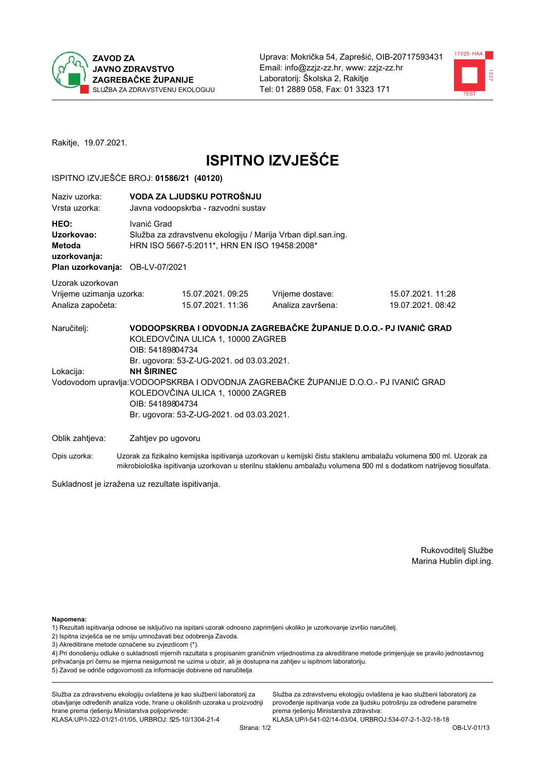



Rakitje, 19.07.2021.

# **ISPITNO IZVJEŠĆE**

#### ISPITNO IZVJEŠĆE BROJ: 01586/21 (40120)

| Naziv uzorka:<br>Vrsta uzorka:                                                                                                                                                              |                    | VODA ZA LJUDSKU POTROŠNJU<br>Javna vodoopskrba - razvodni sustav                                                                                                        |                                       |                                                                                                                  |  |  |  |  |
|---------------------------------------------------------------------------------------------------------------------------------------------------------------------------------------------|--------------------|-------------------------------------------------------------------------------------------------------------------------------------------------------------------------|---------------------------------------|------------------------------------------------------------------------------------------------------------------|--|--|--|--|
| HEO:<br>Uzorkovao:<br>Metoda<br>uzorkovanja:<br>Plan uzorkovanja:                                                                                                                           | OB-LV-07/2021      | Ivanić Grad<br>Služba za zdravstvenu ekologiju / Marija Vrban dipl.san.ing.<br>HRN ISO 5667-5:2011*, HRN EN ISO 19458:2008*                                             |                                       |                                                                                                                  |  |  |  |  |
| Uzorak uzorkovan                                                                                                                                                                            |                    |                                                                                                                                                                         |                                       |                                                                                                                  |  |  |  |  |
| Vrijeme uzimanja uzorka:<br>Analiza započeta:                                                                                                                                               |                    | 15.07.2021, 09:25<br>15.07.2021. 11:36                                                                                                                                  | Vrijeme dostave:<br>Analiza završena: | 15.07.2021. 11:28<br>19.07.2021.08:42                                                                            |  |  |  |  |
| Naručitelj:                                                                                                                                                                                 |                    | VODOOPSKRBA I ODVODNJA ZAGREBAČKE ŽUPANIJE D.O.O.- PJ IVANIĆ GRAD<br>KOLEDOVČINA ULICA 1, 10000 ZAGREB<br>OIB: 54189804734<br>Br. ugovora: 53-Z-UG-2021. od 03.03.2021. |                                       |                                                                                                                  |  |  |  |  |
| Lokacija:                                                                                                                                                                                   | <b>NH SIRINEC</b>  |                                                                                                                                                                         |                                       |                                                                                                                  |  |  |  |  |
| Vodovodom upravlja: VODOOPSKRBA I ODVODNJA ZAGREBAČKE ŽUPANIJE D.O.O.- PJ IVANIĆ GRAD<br>KOLEDOVČINA ULICA 1, 10000 ZAGREB<br>OIB: 54189804734<br>Br. ugovora: 53-Z-UG-2021. od 03.03.2021. |                    |                                                                                                                                                                         |                                       |                                                                                                                  |  |  |  |  |
| Oblik zahtjeva:                                                                                                                                                                             | Zahtjev po ugovoru |                                                                                                                                                                         |                                       |                                                                                                                  |  |  |  |  |
| Opis uzorka:                                                                                                                                                                                |                    |                                                                                                                                                                         |                                       | Uzorak za fizikalno kemijska ispitivanja uzorkovan u kemijski čistu staklenu ambalažu volumena 500 ml. Uzorak za |  |  |  |  |

mikrobiološka ispitivanja uzorkovan u sterilnu staklenu ambalažu volumena 500 ml s dodatkom natrijevog tiosulfata.

Sukladnost je izražena uz rezultate ispitivanja.

Rukovoditelj Službe Marina Hublin dipl.ing.

Napomena:

- 1) Rezultati ispitivanja odnose se isključivo na ispitani uzorak odnosno zaprimljeni ukoliko je uzorkovanje izvršio naručitelj.
- 2) Ispitna izvješća se ne smiju umnožavati bez odobrenja Zavoda.
- 3) Akreditirane metode označene su zvjezdicom (\*).

4) Pri donošenju odluke o sukladnosti mjernih razultata s propisanim graničnim vrijednostima za akreditirane metode primjenjuje se pravilo jednostavnog prihvaćanja pri čemu se mjerna nesigurnost ne uzima u obzir, ali je dostupna na zahtjev u ispitnom laboratoriju. 5) Zavod se odriče odgovornosti za informacije dobivene od naručitelja

Služba za zdravstvenu ekologiju ovlaštena je kao službeni laboratorij za obavljanje određenih analiza vode, hrane u okolišnih uzoraka u proizvodnji hrane prema rješenju Ministarstva poljoprivrede: KLASA: UP/I-322-01/21-01/05, URBROJ: 525-10/1304-21-4

Služba za zdravstvenu ekologiju ovlaštena je kao službeni laboratorij za provođenje ispitivanja vode za ljudsku potrošnju za određene parametre prema rješenju Ministarstva zdravstva: KLASA:UP/I-541-02/14-03/04, URBROJ:534-07-2-1-3/2-18-18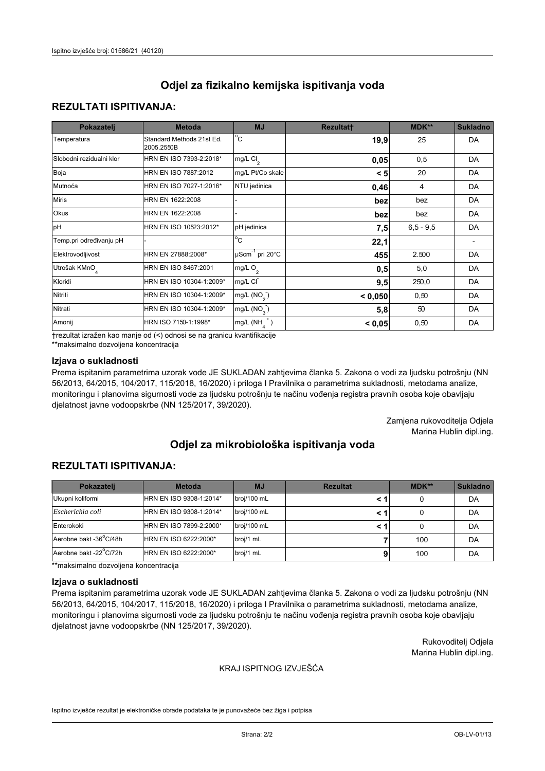## **REZULTATI ISPITIVANJA:**

| Pokazatelj                | <b>Metoda</b>                           | <b>MJ</b>                                | <b>Rezultatt</b> | <b>MDK**</b> | <b>Sukladno</b> |
|---------------------------|-----------------------------------------|------------------------------------------|------------------|--------------|-----------------|
| Temperatura               | Standard Methods 21st Ed.<br>2005.2550B | $\overline{C}$                           | 19,9             | 25           | DA              |
| Slobodni rezidualni klor  | HRN EN ISO 7393-2:2018*                 | $\overline{\text{mg/L}}$ Cl <sub>2</sub> | 0,05             | 0,5          | DA              |
| Boja                      | HRN EN ISO 7887:2012                    | mg/L Pt/Co skale                         | < 5              | 20           | DA              |
| Mutnoća                   | HRN EN ISO 7027-1:2016*                 | NTU jedinica                             | 0,46             | 4            | DA              |
| <b>Miris</b>              | HRN EN 1622:2008                        |                                          | bez              | bez          | DA              |
| Okus                      | HRN EN 1622:2008                        |                                          | bez              | bez          | DA              |
| pH                        | HRN EN ISO 10523:2012*                  | pH jedinica                              | 7,5              | $6.5 - 9.5$  | DA              |
| Temp.pri određivanju pH   |                                         | $\overline{c}$                           | 22,1             |              |                 |
| Elektrovodljivost         | HRN EN 27888:2008*                      | $\mu$ Scm <sup>-1</sup> pri 20°C         | 455              | 2.500        | DA              |
| Utrošak KMnO <sub>4</sub> | HRN EN ISO 8467:2001                    | mg/L $O_2$                               | 0,5              | 5,0          | DA              |
| Kloridi                   | HRN EN ISO 10304-1:2009*                | mg/L CI                                  | 9,5              | 250,0        | DA              |
| Nitriti                   | HRN EN ISO 10304-1:2009*                | mg/L (NO <sub>2</sub> )                  | < 0,050          | 0,50         | DA              |
| Nitrati                   | HRN EN ISO 10304-1:2009*                | mg/L $(NO3)$                             | 5,8              | 50           | DA              |
| Amonij                    | HRN ISO 7150-1:1998*                    | mg/L $(NH_{\lambda}^{\dagger})$          | < 0,05           | 0,50         | DA              |

trezultat izražen kao manje od (<) odnosi se na granicu kvantifikacije

\*\*maksimalno dozvoljena koncentracija

### Izjava o sukladnosti

Prema ispitanim parametrima uzorak vode JE SUKLADAN zahtjevima članka 5. Zakona o vodi za ljudsku potrošnju (NN 56/2013, 64/2015, 104/2017, 115/2018, 16/2020) i priloga I Pravilnika o parametrima sukladnosti, metodama analize, monitoringu i planovima sigurnosti vode za ljudsku potrošnju te načinu vođenja registra pravnih osoba koje obavljaju djelatnost javne vodoopskrbe (NN 125/2017, 39/2020).

> Zamjena rukovoditelja Odjela Marina Hublin dipl.ing.

## Odjel za mikrobiološka ispitivanja voda

## **REZULTATI ISPITIVANJA:**

| Pokazatelj             | <b>Metoda</b>           | <b>MJ</b>   | <b>Rezultat</b> | $MDK**$ | <b>Sukladno</b> |
|------------------------|-------------------------|-------------|-----------------|---------|-----------------|
| Ukupni koliformi       | HRN EN ISO 9308-1:2014* | broj/100 mL |                 |         | DA              |
| Escherichia coli       | HRN EN ISO 9308-1:2014* | broj/100 mL |                 |         | DA              |
| Enterokoki             | HRN EN ISO 7899-2:2000* | broj/100 mL |                 |         | DA              |
| Aerobne bakt -36°C/48h | HRN EN ISO 6222:2000*   | broj/1 mL   |                 | 100     | DA              |
| Aerobne bakt -22°C/72h | HRN EN ISO 6222:2000*   | broj/1 mL   |                 | 100     | DA              |

\*\*maksimalno dozvoljena koncentracija

#### Izjava o sukladnosti

Prema ispitanim parametrima uzorak vode JE SUKLADAN zahtjevima članka 5. Zakona o vodi za ljudsku potrošnju (NN 56/2013, 64/2015, 104/2017, 115/2018, 16/2020) i priloga I Pravilnika o parametrima sukladnosti, metodama analize, monitoringu i planovima sigurnosti vode za ljudsku potrošnju te načinu vođenja registra pravnih osoba koje obavljaju djelatnost javne vodoopskrbe (NN 125/2017, 39/2020).

> Rukovoditelj Odjela Marina Hublin dipl.ing.

#### KRAJ ISPITNOG IZVJEŠĆA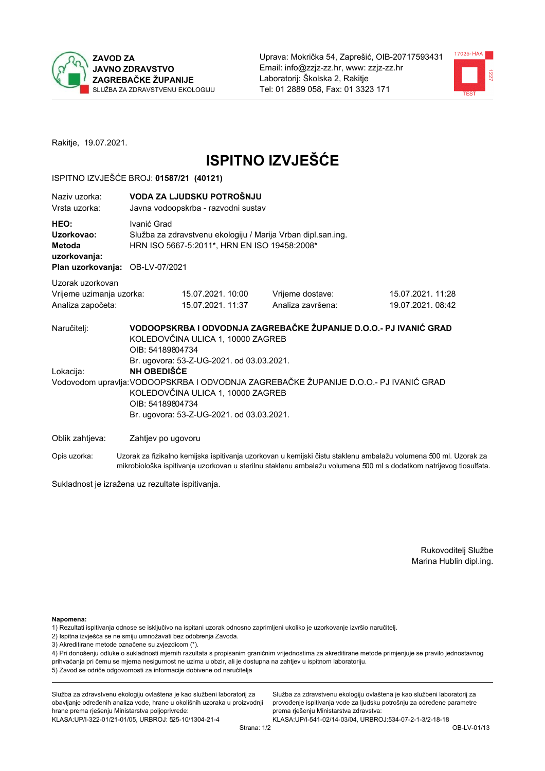



Rakitje, 19.07.2021.

# **ISPITNO IZVJEŠĆE**

#### ISPITNO IZVJEŠĆE BROJ: 01587/21 (40121)

| Naziy uzorka:<br>Vrsta uzorka:                                                  |                    | VODA ZA LJUDSKU POTROŠNJU<br>Javna vodoopskrba - razvodni sustav                                                                                                                                                                                                                                                                                                                             |                   |                                                                                                                  |  |  |  |  |
|---------------------------------------------------------------------------------|--------------------|----------------------------------------------------------------------------------------------------------------------------------------------------------------------------------------------------------------------------------------------------------------------------------------------------------------------------------------------------------------------------------------------|-------------------|------------------------------------------------------------------------------------------------------------------|--|--|--|--|
| HEO:<br>Uzorkovao:<br>Metoda<br>uzorkovanja:<br>Plan uzorkovanja: OB-LV-07/2021 | Ivanić Grad        | Služba za zdravstvenu ekologiju / Marija Vrban dipl.san.ing.<br>HRN ISO 5667-5:2011*, HRN EN ISO 19458:2008*                                                                                                                                                                                                                                                                                 |                   |                                                                                                                  |  |  |  |  |
| Uzorak uzorkovan                                                                |                    |                                                                                                                                                                                                                                                                                                                                                                                              |                   |                                                                                                                  |  |  |  |  |
| Vrijeme uzimanja uzorka:                                                        |                    | 15.07.2021. 10:00                                                                                                                                                                                                                                                                                                                                                                            | Vrijeme dostave:  | 15.07.2021. 11:28                                                                                                |  |  |  |  |
| Analiza započeta:                                                               |                    | 15.07.2021. 11:37                                                                                                                                                                                                                                                                                                                                                                            | Analiza završena: | 19.07.2021.08:42                                                                                                 |  |  |  |  |
| Naručitelj:<br>Lokacija:                                                        |                    | VODOOPSKRBA I ODVODNJA ZAGREBAČKE ŽUPANIJE D.O.O.- PJ IVANIĆ GRAD<br>KOLEDOVČINA ULICA 1, 10000 ZAGREB<br>OIB: 54189804734<br>Br. ugovora: 53-Z-UG-2021. od 03.03.2021.<br><b>NH OBEDIŠĆE</b><br>Vodovodom upravlja: VODOOPSKRBA I ODVODNJA ZAGREBAČKE ŽUPANIJE D.O.O.- PJ IVANIĆ GRAD<br>KOLEDOVČINA ULICA 1, 10000 ZAGREB<br>OIB: 54189804734<br>Br. ugovora: 53-Z-UG-2021. od 03.03.2021. |                   |                                                                                                                  |  |  |  |  |
| Oblik zahtjeva:                                                                 | Zahtjev po ugovoru |                                                                                                                                                                                                                                                                                                                                                                                              |                   |                                                                                                                  |  |  |  |  |
| Opis uzorka:                                                                    |                    |                                                                                                                                                                                                                                                                                                                                                                                              |                   | Uzorak za fizikalno kemijska ispitivanja uzorkovan u kemijski čistu staklenu ambalažu volumena 500 ml. Uzorak za |  |  |  |  |

mikrobiološka ispitivanja uzorkovan u sterilnu staklenu ambalažu volumena 500 ml s dodatkom natrijevog tiosulfata.

Sukladnost je izražena uz rezultate ispitivanja.

Rukovoditelj Službe Marina Hublin dipl.ing.

Napomena:

- 1) Rezultati ispitivanja odnose se isključivo na ispitani uzorak odnosno zaprimljeni ukoliko je uzorkovanje izvršio naručitelj.
- 2) Ispitna izvješća se ne smiju umnožavati bez odobrenja Zavoda.
- 3) Akreditirane metode označene su zvjezdicom (\*).

4) Pri donošenju odluke o sukladnosti mjernih razultata s propisanim graničnim vrijednostima za akreditirane metode primjenjuje se pravilo jednostavnog prihvaćanja pri čemu se mjerna nesigurnost ne uzima u obzir, ali je dostupna na zahtjev u ispitnom laboratoriju. 5) Zavod se odriče odgovornosti za informacije dobivene od naručitelja

Služba za zdravstvenu ekologiju ovlaštena je kao službeni laboratorij za obavljanje određenih analiza vode, hrane u okolišnih uzoraka u proizvodnji hrane prema rješenju Ministarstva poljoprivrede: KLASA: UP/I-322-01/21-01/05, URBROJ: 525-10/1304-21-4